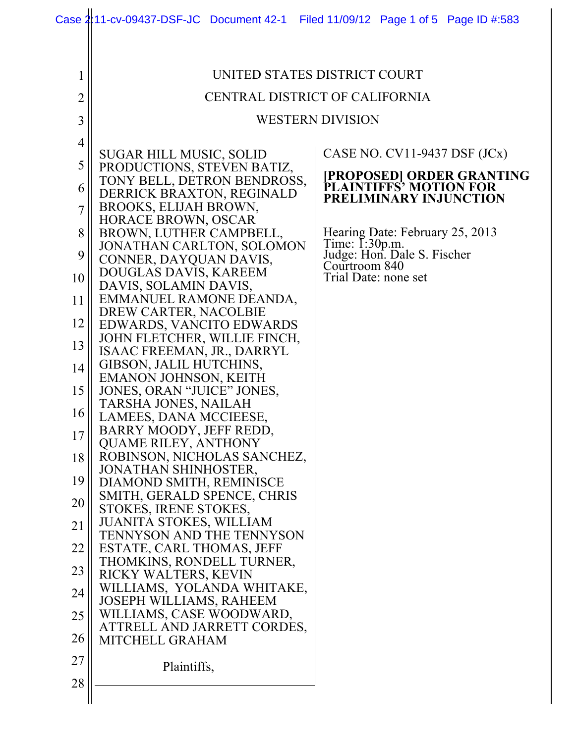|                | Case 2:11-cv-09437-DSF-JC Document 42-1 Filed 11/09/12 Page 1 of 5 Page ID #:583 |                                                             |  |  |  |  |  |  |
|----------------|----------------------------------------------------------------------------------|-------------------------------------------------------------|--|--|--|--|--|--|
|                |                                                                                  |                                                             |  |  |  |  |  |  |
| 1              | UNITED STATES DISTRICT COURT                                                     |                                                             |  |  |  |  |  |  |
|                |                                                                                  |                                                             |  |  |  |  |  |  |
| 2              | CENTRAL DISTRICT OF CALIFORNIA                                                   |                                                             |  |  |  |  |  |  |
| 3              | <b>WESTERN DIVISION</b>                                                          |                                                             |  |  |  |  |  |  |
| $\overline{4}$ | SUGAR HILL MUSIC, SOLID                                                          | CASE NO. $CV11-9437$ DSF $(JCx)$                            |  |  |  |  |  |  |
| 5              | PRODUCTIONS, STEVEN BATIZ,                                                       |                                                             |  |  |  |  |  |  |
| 6              | TONY BELL, DETRON BENDROSS,<br>DERRICK BRAXTON, REGINALD                         | <b>[PROPOSED] ORDER GRANTING<br/>PLAINTIFFS' MOTION FOR</b> |  |  |  |  |  |  |
| $\overline{7}$ | BROOKS, ELIJAH BROWN,                                                            | PRELIMINARY INJUNCTION                                      |  |  |  |  |  |  |
|                | HORACE BROWN, OSCAR                                                              |                                                             |  |  |  |  |  |  |
| 8              | BROWN, LUTHER CAMPBELL,<br>JONATHAN CARLTON, SOLOMON                             | Hearing Date: February 25, 2013<br>Time: I:30p.m.           |  |  |  |  |  |  |
| 9              | CONNER, DAYQUAN DAVIS,                                                           | Judge: Hon. Dale S. Fischer<br>Courtroom 840                |  |  |  |  |  |  |
| 10             | DOUGLAS DAVIS, KAREEM<br>DAVIS, SOLAMIN DAVIS,                                   | Trial Date: none set                                        |  |  |  |  |  |  |
| 11             | EMMANUEL RAMONE DEANDA,                                                          |                                                             |  |  |  |  |  |  |
| 12             | DREW CARTER, NACOLBIE<br>EDWARDS, VANCITO EDWARDS                                |                                                             |  |  |  |  |  |  |
| 13             | JOHN FLETCHER, WILLIE FINCH,                                                     |                                                             |  |  |  |  |  |  |
| 14             | ISAAC FREEMAN, JR., DARRYL<br>GIBSON, JALIL HUTCHINS,                            |                                                             |  |  |  |  |  |  |
|                | EMANON JOHNSON, KEITH                                                            |                                                             |  |  |  |  |  |  |
| 15             | JONES, ORAN "JUICE" JONES,<br>TARSHA JONES, NAILAH                               |                                                             |  |  |  |  |  |  |
| 16             | LAMEES, DANA MCCIEESE,                                                           |                                                             |  |  |  |  |  |  |
| 17             | BARRY MOODY, JEFF REDD,<br><b>QUAME RILEY, ANTHONY</b>                           |                                                             |  |  |  |  |  |  |
| 18             | ROBINSON, NICHOLAS SANCHEZ,                                                      |                                                             |  |  |  |  |  |  |
| 19             | JONATHAN SHINHOSTER,<br>DIAMOND SMITH, REMINISCE                                 |                                                             |  |  |  |  |  |  |
| 20             | SMITH, GERALD SPENCE, CHRIS                                                      |                                                             |  |  |  |  |  |  |
| 21             | STOKES, IRENE STOKES,<br><b>JUANITA STOKES, WILLIAM</b>                          |                                                             |  |  |  |  |  |  |
|                | <b>TENNYSON AND THE TENNYSON</b>                                                 |                                                             |  |  |  |  |  |  |
| 22             | ESTATE, CARL THOMAS, JEFF<br>THOMKINS, RONDELL TURNER,                           |                                                             |  |  |  |  |  |  |
| 23             | RICKY WALTERS, KEVIN                                                             |                                                             |  |  |  |  |  |  |
| 24             | WILLIAMS, YOLANDA WHITAKE,<br>JOSEPH WILLIAMS, RAHEEM                            |                                                             |  |  |  |  |  |  |
| 25             | WILLIAMS, CASE WOODWARD,                                                         |                                                             |  |  |  |  |  |  |
| 26             | ATTRELL AND JARRETT CORDES,<br>MITCHELL GRAHAM                                   |                                                             |  |  |  |  |  |  |
| 27             |                                                                                  |                                                             |  |  |  |  |  |  |
| 28             | Plaintiffs,                                                                      |                                                             |  |  |  |  |  |  |
|                |                                                                                  |                                                             |  |  |  |  |  |  |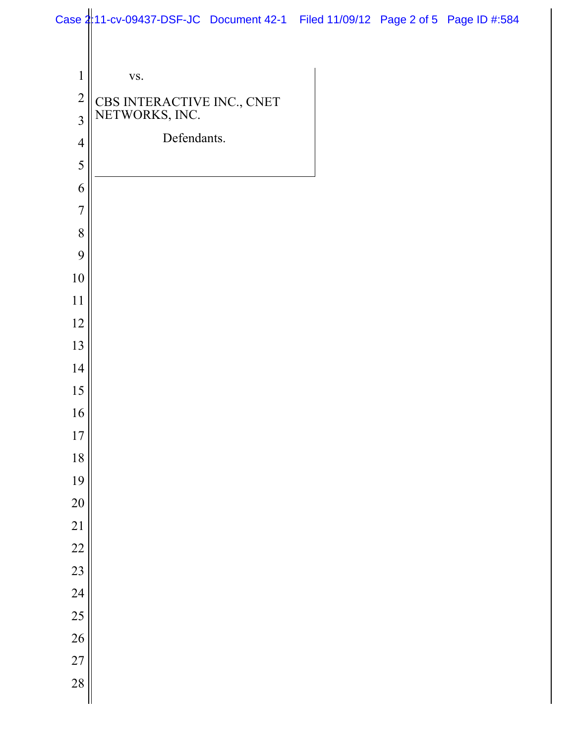|                | Case 2:11-cv-09437-DSF-JC Document 42-1 Filed 11/09/12 Page 2 of 5 Page ID #:584 |  |  |
|----------------|----------------------------------------------------------------------------------|--|--|
|                |                                                                                  |  |  |
| $\mathbf{1}$   | VS.                                                                              |  |  |
| $\overline{c}$ | CBS INTERACTIVE INC., CNET NETWORKS, INC.                                        |  |  |
| $\overline{3}$ |                                                                                  |  |  |
| $\overline{4}$ | Defendants.                                                                      |  |  |
| 5              |                                                                                  |  |  |
| 6              |                                                                                  |  |  |
| $\overline{7}$ |                                                                                  |  |  |
| 8              |                                                                                  |  |  |
| 9              |                                                                                  |  |  |
| 10             |                                                                                  |  |  |
| 11             |                                                                                  |  |  |
| 12             |                                                                                  |  |  |
| 13             |                                                                                  |  |  |
| 14             |                                                                                  |  |  |
| 15             |                                                                                  |  |  |
| 16             |                                                                                  |  |  |
| $17\,$         |                                                                                  |  |  |
| 18             |                                                                                  |  |  |
| 19             |                                                                                  |  |  |
| 20             |                                                                                  |  |  |
| 21             |                                                                                  |  |  |
| 22             |                                                                                  |  |  |
| 23             |                                                                                  |  |  |
| 24             |                                                                                  |  |  |
| 25             |                                                                                  |  |  |
| 26             |                                                                                  |  |  |
| 27             |                                                                                  |  |  |
| 28             |                                                                                  |  |  |
|                |                                                                                  |  |  |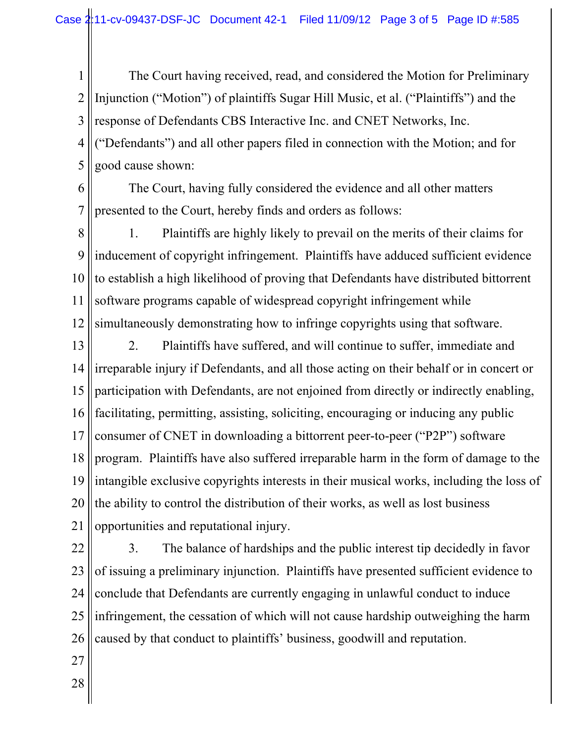1 2 3 4 5 The Court having received, read, and considered the Motion for Preliminary Injunction ("Motion") of plaintiffs Sugar Hill Music, et al. ("Plaintiffs") and the response of Defendants CBS Interactive Inc. and CNET Networks, Inc. ("Defendants") and all other papers filed in connection with the Motion; and for good cause shown:

6

7 The Court, having fully considered the evidence and all other matters presented to the Court, hereby finds and orders as follows:

8 9 10 11 12 1. Plaintiffs are highly likely to prevail on the merits of their claims for inducement of copyright infringement. Plaintiffs have adduced sufficient evidence to establish a high likelihood of proving that Defendants have distributed bittorrent software programs capable of widespread copyright infringement while simultaneously demonstrating how to infringe copyrights using that software.

13 14 15 16 17 18 19 20 21 2. Plaintiffs have suffered, and will continue to suffer, immediate and irreparable injury if Defendants, and all those acting on their behalf or in concert or participation with Defendants, are not enjoined from directly or indirectly enabling, facilitating, permitting, assisting, soliciting, encouraging or inducing any public consumer of CNET in downloading a bittorrent peer-to-peer ("P2P") software program. Plaintiffs have also suffered irreparable harm in the form of damage to the intangible exclusive copyrights interests in their musical works, including the loss of the ability to control the distribution of their works, as well as lost business opportunities and reputational injury.

22 23 24 25 26 3. The balance of hardships and the public interest tip decidedly in favor of issuing a preliminary injunction. Plaintiffs have presented sufficient evidence to conclude that Defendants are currently engaging in unlawful conduct to induce infringement, the cessation of which will not cause hardship outweighing the harm caused by that conduct to plaintiffs' business, goodwill and reputation.

27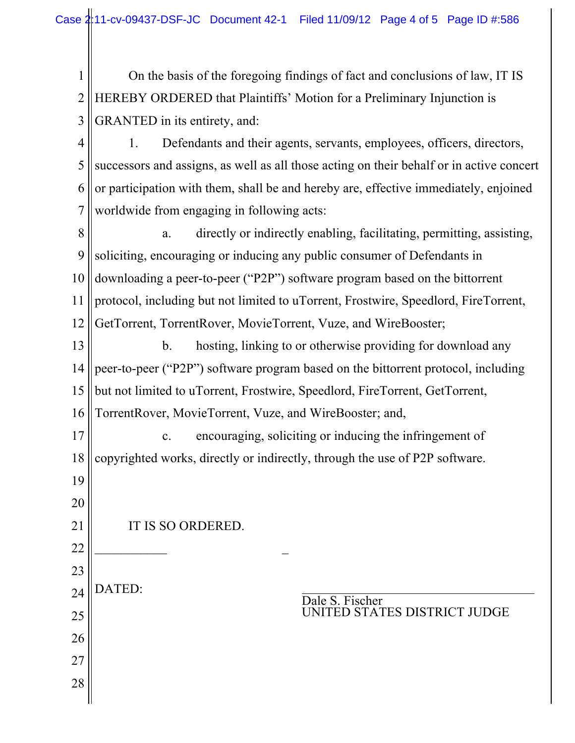1 2 3 On the basis of the foregoing findings of fact and conclusions of law, IT IS HEREBY ORDERED that Plaintiffs' Motion for a Preliminary Injunction is GRANTED in its entirety, and:

4 5 6 7 1. Defendants and their agents, servants, employees, officers, directors, successors and assigns, as well as all those acting on their behalf or in active concert or participation with them, shall be and hereby are, effective immediately, enjoined worldwide from engaging in following acts:

8 9 10 11 12 a. directly or indirectly enabling, facilitating, permitting, assisting, soliciting, encouraging or inducing any public consumer of Defendants in downloading a peer-to-peer ("P2P") software program based on the bittorrent protocol, including but not limited to uTorrent, Frostwire, Speedlord, FireTorrent, GetTorrent, TorrentRover, MovieTorrent, Vuze, and WireBooster;

13 14 15 16 b. hosting, linking to or otherwise providing for download any peer-to-peer ("P2P") software program based on the bittorrent protocol, including but not limited to uTorrent, Frostwire, Speedlord, FireTorrent, GetTorrent, TorrentRover, MovieTorrent, Vuze, and WireBooster; and,

17 18 19 20 c. encouraging, soliciting or inducing the infringement of copyrighted works, directly or indirectly, through the use of P2P software.

IT IS SO ORDERED.

 $\frac{1}{2}$  , where  $\frac{1}{2}$  , where  $\frac{1}{2}$ 

21

22

23

24

DATED:

25

26

27

28

Dale S. Fischer UNITED STATES DISTRICT JUDGE